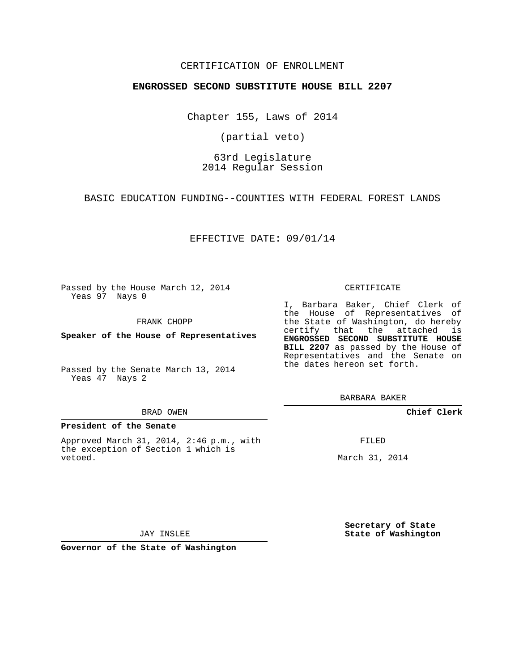### CERTIFICATION OF ENROLLMENT

#### **ENGROSSED SECOND SUBSTITUTE HOUSE BILL 2207**

Chapter 155, Laws of 2014

(partial veto)

# 63rd Legislature 2014 Regular Session

BASIC EDUCATION FUNDING--COUNTIES WITH FEDERAL FOREST LANDS

EFFECTIVE DATE: 09/01/14

Passed by the House March 12, 2014 Yeas 97 Nays 0

FRANK CHOPP

**Speaker of the House of Representatives**

Passed by the Senate March 13, 2014 Yeas 47 Nays 2

#### BRAD OWEN

#### **President of the Senate**

Approved March 31, 2014, 2:46 p.m., with the exception of Section 1 which is vetoed.

CERTIFICATE

I, Barbara Baker, Chief Clerk of the House of Representatives of the State of Washington, do hereby certify that the attached is **ENGROSSED SECOND SUBSTITUTE HOUSE BILL 2207** as passed by the House of Representatives and the Senate on the dates hereon set forth.

BARBARA BAKER

**Chief Clerk**

FILED

March 31, 2014

**Secretary of State State of Washington**

JAY INSLEE

**Governor of the State of Washington**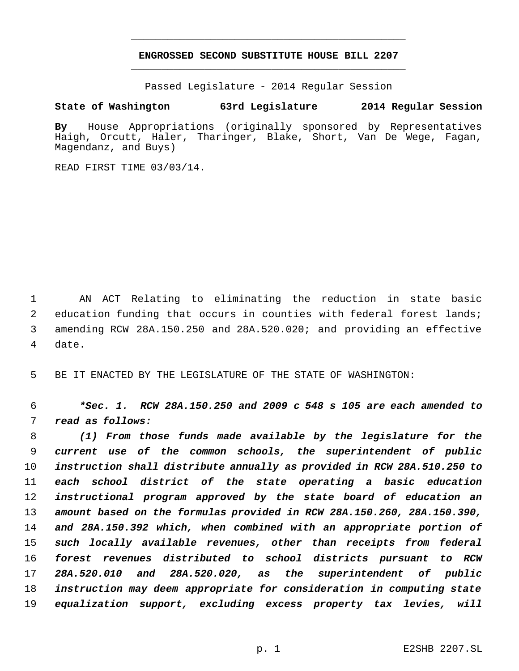# **ENGROSSED SECOND SUBSTITUTE HOUSE BILL 2207** \_\_\_\_\_\_\_\_\_\_\_\_\_\_\_\_\_\_\_\_\_\_\_\_\_\_\_\_\_\_\_\_\_\_\_\_\_\_\_\_\_\_\_\_\_

\_\_\_\_\_\_\_\_\_\_\_\_\_\_\_\_\_\_\_\_\_\_\_\_\_\_\_\_\_\_\_\_\_\_\_\_\_\_\_\_\_\_\_\_\_

Passed Legislature - 2014 Regular Session

# **State of Washington 63rd Legislature 2014 Regular Session**

**By** House Appropriations (originally sponsored by Representatives Haigh, Orcutt, Haler, Tharinger, Blake, Short, Van De Wege, Fagan, Magendanz, and Buys)

READ FIRST TIME 03/03/14.

 AN ACT Relating to eliminating the reduction in state basic education funding that occurs in counties with federal forest lands; amending RCW 28A.150.250 and 28A.520.020; and providing an effective date.

BE IT ENACTED BY THE LEGISLATURE OF THE STATE OF WASHINGTON:

 *\*Sec. 1. RCW 28A.150.250 and 2009 c 548 s 105 are each amended to read as follows:*

 *(1) From those funds made available by the legislature for the current use of the common schools, the superintendent of public instruction shall distribute annually as provided in RCW 28A.510.250 to each school district of the state operating a basic education instructional program approved by the state board of education an amount based on the formulas provided in RCW 28A.150.260, 28A.150.390, and 28A.150.392 which, when combined with an appropriate portion of such locally available revenues, other than receipts from federal forest revenues distributed to school districts pursuant to RCW 28A.520.010 and 28A.520.020, as the superintendent of public instruction may deem appropriate for consideration in computing state equalization support, excluding excess property tax levies, will*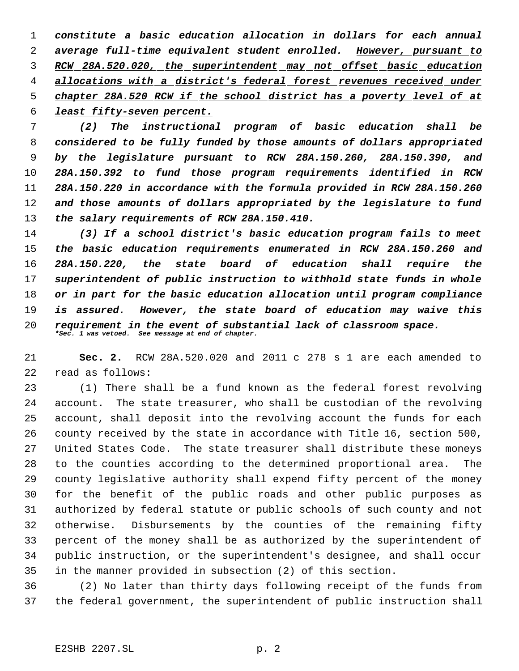*constitute a basic education allocation in dollars for each annual average full-time equivalent student enrolled. However, pursuant to RCW 28A.520.020, the superintendent may not offset basic education allocations with a district's federal forest revenues received under chapter 28A.520 RCW if the school district has a poverty level of at least fifty-seven percent.*

 *(2) The instructional program of basic education shall be considered to be fully funded by those amounts of dollars appropriated by the legislature pursuant to RCW 28A.150.260, 28A.150.390, and 28A.150.392 to fund those program requirements identified in RCW 28A.150.220 in accordance with the formula provided in RCW 28A.150.260 and those amounts of dollars appropriated by the legislature to fund the salary requirements of RCW 28A.150.410.*

 *(3) If a school district's basic education program fails to meet the basic education requirements enumerated in RCW 28A.150.260 and 28A.150.220, the state board of education shall require the superintendent of public instruction to withhold state funds in whole or in part for the basic education allocation until program compliance is assured. However, the state board of education may waive this requirement in the event of substantial lack of classroom space. \*Sec. 1 was vetoed. See message at end of chapter.*

 **Sec. 2.** RCW 28A.520.020 and 2011 c 278 s 1 are each amended to read as follows:

 (1) There shall be a fund known as the federal forest revolving account. The state treasurer, who shall be custodian of the revolving account, shall deposit into the revolving account the funds for each county received by the state in accordance with Title 16, section 500, United States Code. The state treasurer shall distribute these moneys to the counties according to the determined proportional area. The county legislative authority shall expend fifty percent of the money for the benefit of the public roads and other public purposes as authorized by federal statute or public schools of such county and not otherwise. Disbursements by the counties of the remaining fifty percent of the money shall be as authorized by the superintendent of public instruction, or the superintendent's designee, and shall occur in the manner provided in subsection (2) of this section.

 (2) No later than thirty days following receipt of the funds from the federal government, the superintendent of public instruction shall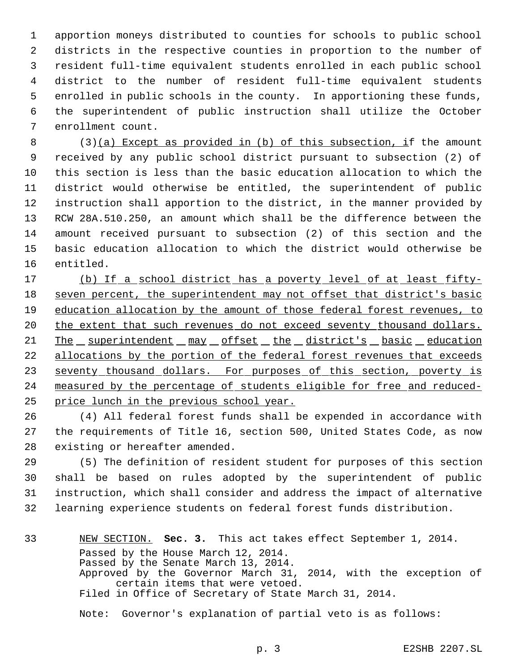apportion moneys distributed to counties for schools to public school districts in the respective counties in proportion to the number of resident full-time equivalent students enrolled in each public school district to the number of resident full-time equivalent students enrolled in public schools in the county. In apportioning these funds, the superintendent of public instruction shall utilize the October enrollment count.

 (3)(a) Except as provided in (b) of this subsection, if the amount received by any public school district pursuant to subsection (2) of this section is less than the basic education allocation to which the district would otherwise be entitled, the superintendent of public instruction shall apportion to the district, in the manner provided by RCW 28A.510.250, an amount which shall be the difference between the amount received pursuant to subsection (2) of this section and the basic education allocation to which the district would otherwise be entitled.

 (b) If a school district has a poverty level of at least fifty- seven percent, the superintendent may not offset that district's basic education allocation by the amount of those federal forest revenues, to 20 the extent that such revenues do not exceed seventy thousand dollars. 21 The superintendent may offset the district's basic education allocations by the portion of the federal forest revenues that exceeds 23 seventy thousand dollars. For purposes of this section, poverty is measured by the percentage of students eligible for free and reduced-25 price lunch in the previous school year.

 (4) All federal forest funds shall be expended in accordance with the requirements of Title 16, section 500, United States Code, as now existing or hereafter amended.

 (5) The definition of resident student for purposes of this section shall be based on rules adopted by the superintendent of public instruction, which shall consider and address the impact of alternative learning experience students on federal forest funds distribution.

# NEW SECTION. **Sec. 3.** This act takes effect September 1, 2014. Passed by the House March 12, 2014. Passed by the Senate March 13, 2014. Approved by the Governor March 31, 2014, with the exception of certain items that were vetoed. Filed in Office of Secretary of State March 31, 2014.

Note: Governor's explanation of partial veto is as follows: